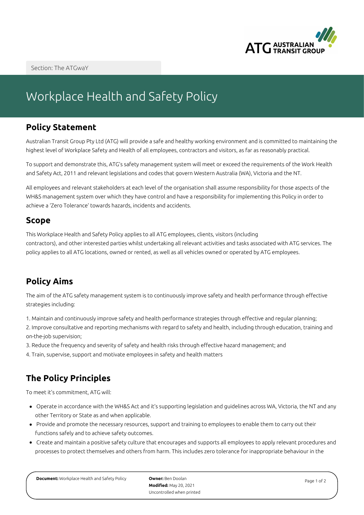

# Workplace Health and Safety Policy

### **Policy Statement**

Australian Transit Group Pty Ltd (ATG) will provide a safe and healthy working environment and is committed to maintaining the highest level of Workplace Safety and Health of all employees, contractors and visitors, as far as reasonably practical.

To support and demonstrate this, ATG's safety management system will meet or exceed the requirements of the Work Health and Safety Act, 2011 and relevant legislations and codes that govern Western Australia (WA), Victoria and the NT.

All employees and relevant stakeholders at each level of the organisation shall assume responsibility for those aspects of the WH&S management system over which they have control and have a responsibility for implementing this Policy in order to achieve a 'Zero Tolerance' towards hazards, incidents and accidents.

#### **Scope**

This Workplace Health and Safety Policy applies to all ATG employees, clients, visitors (including contractors), and other interested parties whilst undertaking all relevant activities and tasks associated with ATG services. The policy applies to all ATG locations, owned or rented, as well as all vehicles owned or operated by ATG employees.

## **Policy Aims**

The aim of the ATG safety management system is to continuously improve safety and health performance through effective strategies including:

- 1. Maintain and continuously improve safety and health performance strategies through effective and regular planning;
- 2. Improve consultative and reporting mechanisms with regard to safety and health, including through education, training and on-the-job supervision;
- 3. Reduce the frequency and severity of safety and health risks through effective hazard management; and
- 4. Train, supervise, support and motivate employees in safety and health matters

# **The Policy Principles**

To meet it's commitment, ATG will:

- Operate in accordance with the WH&S Act and it's supporting legislation and guidelines across WA, Victoria, the NT and any other Territory or State as and when applicable.
- Provide and promote the necessary resources, support and training to employees to enable them to carry out their functions safely and to achieve safety outcomes.
- Create and maintain a positive safety culture that encourages and supports all employees to apply relevant procedures and processes to protect themselves and others from harm. This includes zero tolerance for inappropriate behaviour in the

**Document:** Workplace Health and Safety Policy **Owner:** Ben Doolan

**Modified:** May 20, 2021 Uncontrolled when printed